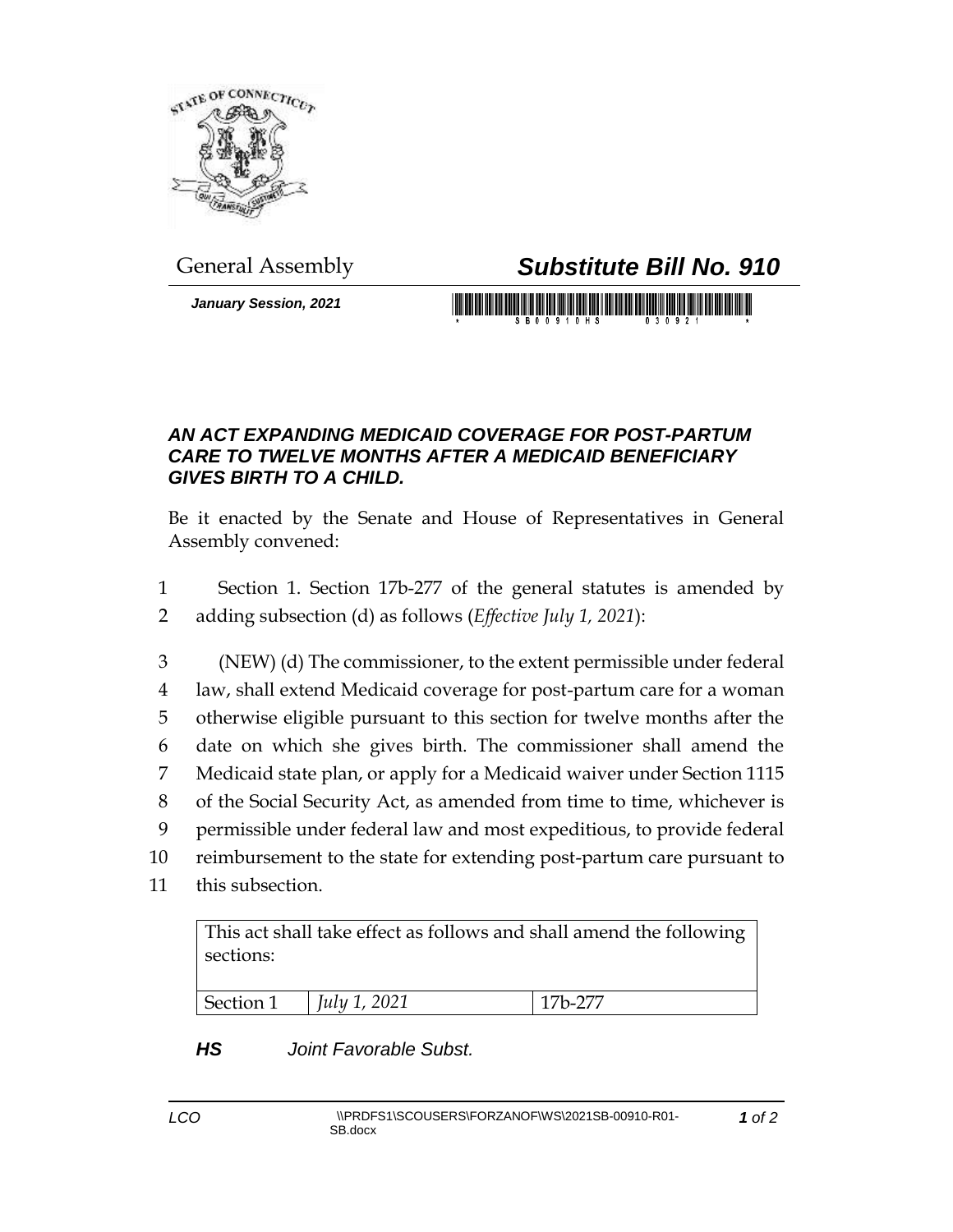

## General Assembly *Substitute Bill No. 910*

*January Session, 2021*

## *AN ACT EXPANDING MEDICAID COVERAGE FOR POST-PARTUM CARE TO TWELVE MONTHS AFTER A MEDICAID BENEFICIARY GIVES BIRTH TO A CHILD.*

Be it enacted by the Senate and House of Representatives in General Assembly convened:

1 Section 1. Section 17b-277 of the general statutes is amended by 2 adding subsection (d) as follows (*Effective July 1, 2021*):

 (NEW) (d) The commissioner, to the extent permissible under federal law, shall extend Medicaid coverage for post-partum care for a woman otherwise eligible pursuant to this section for twelve months after the date on which she gives birth. The commissioner shall amend the Medicaid state plan, or apply for a Medicaid waiver under Section 1115 of the Social Security Act, as amended from time to time, whichever is permissible under federal law and most expeditious, to provide federal reimbursement to the state for extending post-partum care pursuant to

11 this subsection.

This act shall take effect as follows and shall amend the following sections:

| July 1, 2021<br>Section 1<br>$17h-277$ |  |
|----------------------------------------|--|

## *HS Joint Favorable Subst.*

*1 of 2*